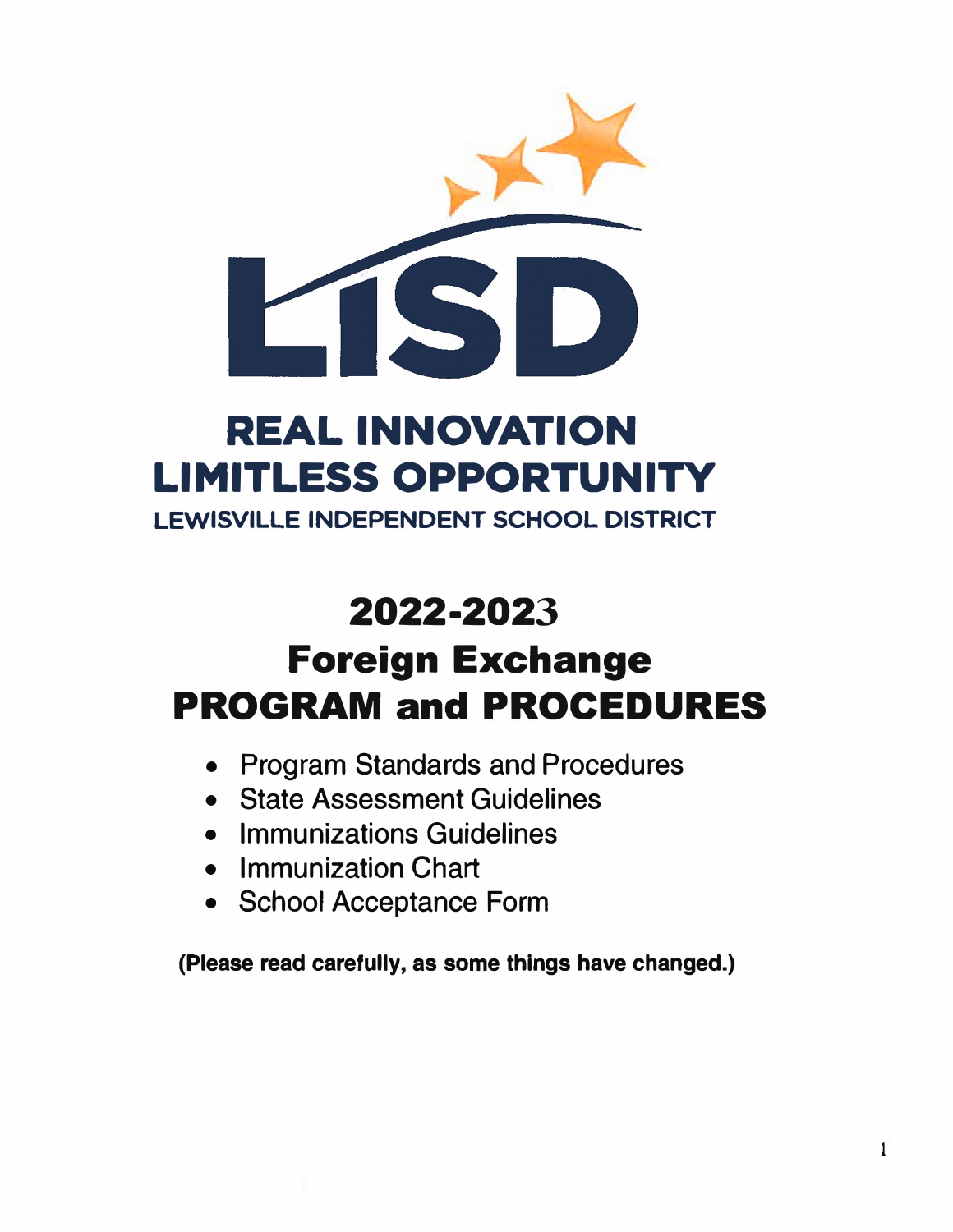

# **REAL INNOVATION LIMITLESS OPPORTUNITY**

**LEWISVILLE INDEPENDENT SCHOOL DISTRICT** 

# **2022-2023**

# **Foreign Exchange PROGRAM and PROCEDURES**

- $\bullet$ Program Standards and Procedures
- State Assessment Guidelines
- Immunizations Guidelines
- Immunization Chart
- School Acceptance Form

**(Please read carefully, as some things have changed.)**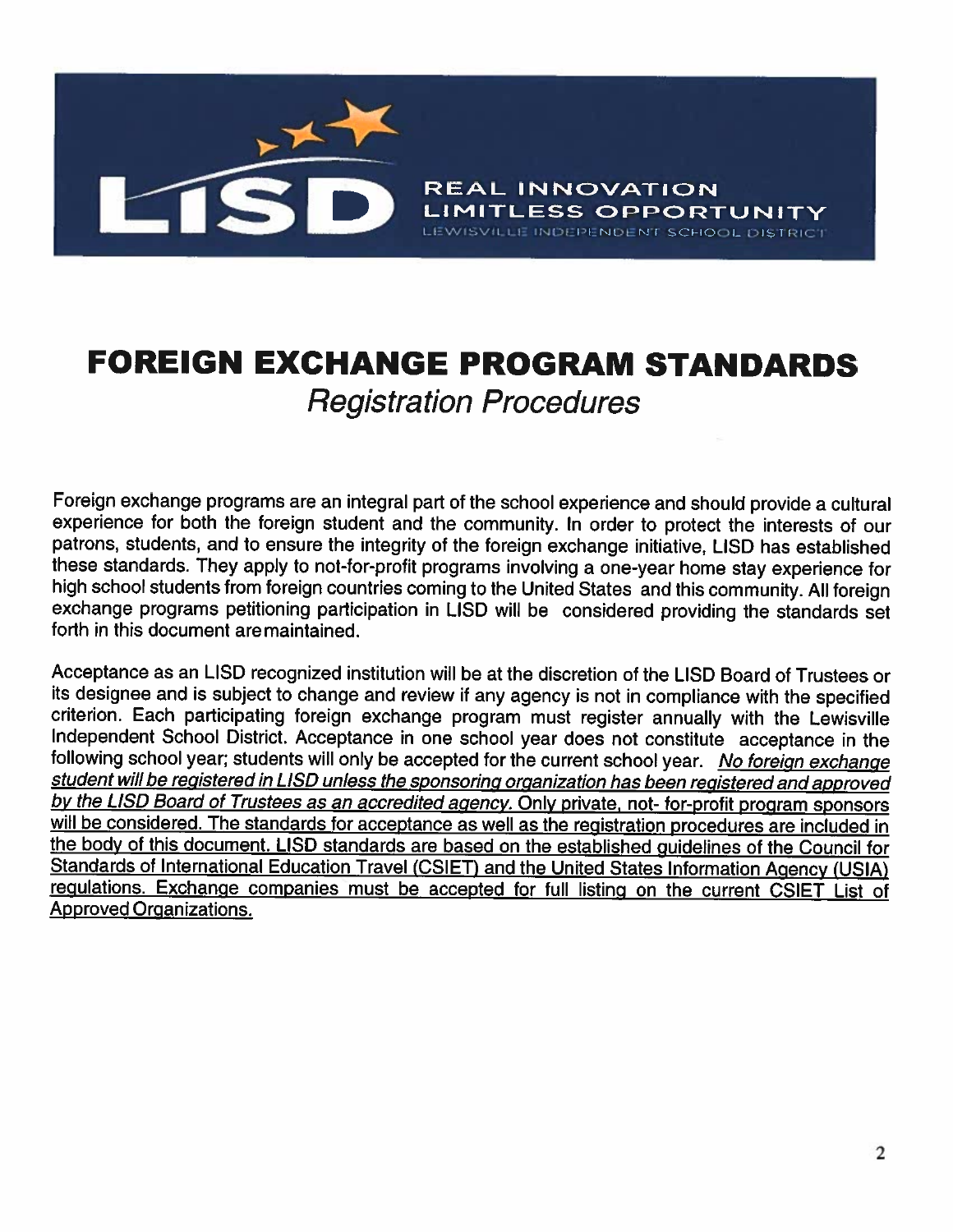

## **FOREIGN EXCHANGE PROGRAM STANDARDS Registration Procedures**

Foreign exchange programs are an integral part of the school experience and should provide a cultural experience for both the foreign student and the community. In order to protect the interests of our patrons, students, and to ensure the integrity of the foreign exchange initiative, LISD has established these standards. They apply to not-for-profit programs involving a one-year home stay experience for high school students from foreign countries coming to the United States and this community. All foreign exchange programs petitioning participation in LISD will be considered providing the standards set forth in this document are maintained.

Acceptance as an LISD recognized institution will be at the discretion of the LISD Board of Trustees or its designee and is subject to change and review if any agency is not in compliance with the specified criterion. Each participating foreign exchange program must register annually with the Lewisville Independent School District. Acceptance in one school year does not constitute acceptance in the following school year; students will only be accepted for the current school year. No foreign exchange student will be registered in LISD unless the sponsoring organization has been registered and approved by the LISD Board of Trustees as an accredited agency. Only private, not- for-profit program sponsors will be considered. The standards for acceptance as well as the registration procedures are included in the body of this document. LISD standards are based on the established guidelines of the Council for Standards of International Education Travel (CSIET) and the United States Information Agency (USIA) regulations. Exchange companies must be accepted for full listing on the current CSIET List of **Approved Organizations.**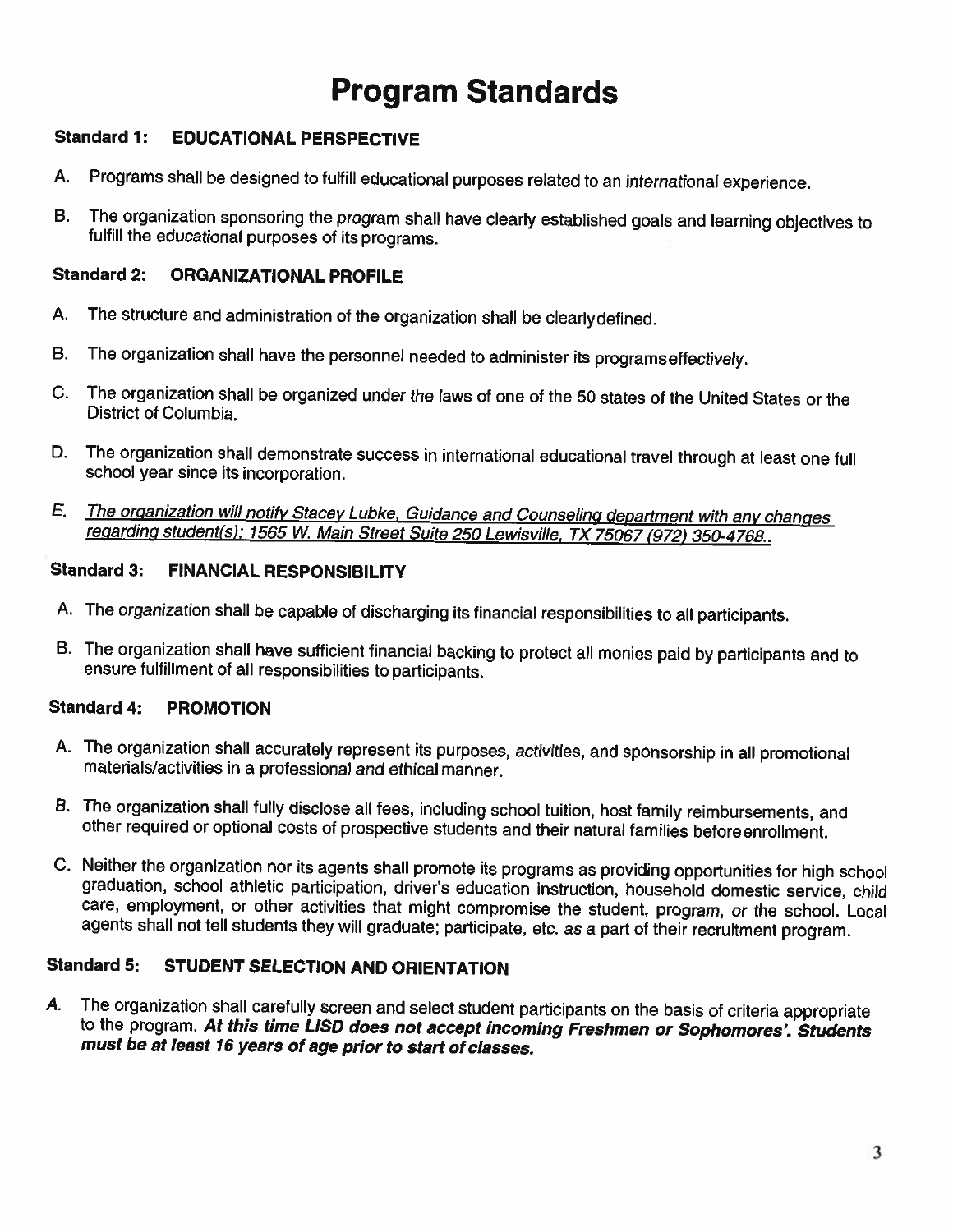## **Program Standards**

#### **Standard 1: EDUCATIONAL PERSPECTIVE**

- Programs shall be designed to fulfill educational purposes related to an international experience. А.
- The organization sponsoring the program shall have clearly established goals and learning objectives to В. fulfill the educational purposes of its programs.

#### **Standard 2: ORGANIZATIONAL PROFILE**

- The structure and administration of the organization shall be clearly defined. Α.
- В. The organization shall have the personnel needed to administer its programs effectively.
- The organization shall be organized under the laws of one of the 50 states of the United States or the C. District of Columbia.
- The organization shall demonstrate success in international educational travel through at least one full D. school year since its incorporation.
- The organization will notify Stacey Lubke, Guidance and Counseling department with any changes E. regarding student(s); 1565 W. Main Street Suite 250 Lewisville, TX 75067 (972) 350-4768..

#### **Standard 3: FINANCIAL RESPONSIBILITY**

- A. The organization shall be capable of discharging its financial responsibilities to all participants.
- B. The organization shall have sufficient financial backing to protect all monies paid by participants and to ensure fulfillment of all responsibilities to participants.

#### **Standard 4: PROMOTION**

- A. The organization shall accurately represent its purposes, activities, and sponsorship in all promotional materials/activities in a professional and ethical manner.
- B. The organization shall fully disclose all fees, including school tuition, host family reimbursements, and other required or optional costs of prospective students and their natural families beforeenrollment.
- C. Neither the organization nor its agents shall promote its programs as providing opportunities for high school graduation, school athletic participation, driver's education instruction, household domestic service, child care, employment, or other activities that might compromise the student, program, or the school. Local agents shall not tell students they will graduate; participate, etc. as a part of their recruitment program.

#### **Standard 5:** STUDENT SELECTION AND ORIENTATION

The organization shall carefully screen and select student participants on the basis of criteria appropriate Α. to the program. At this time LISD does not accept incoming Freshmen or Sophomores'. Students must be at least 16 years of age prior to start of classes.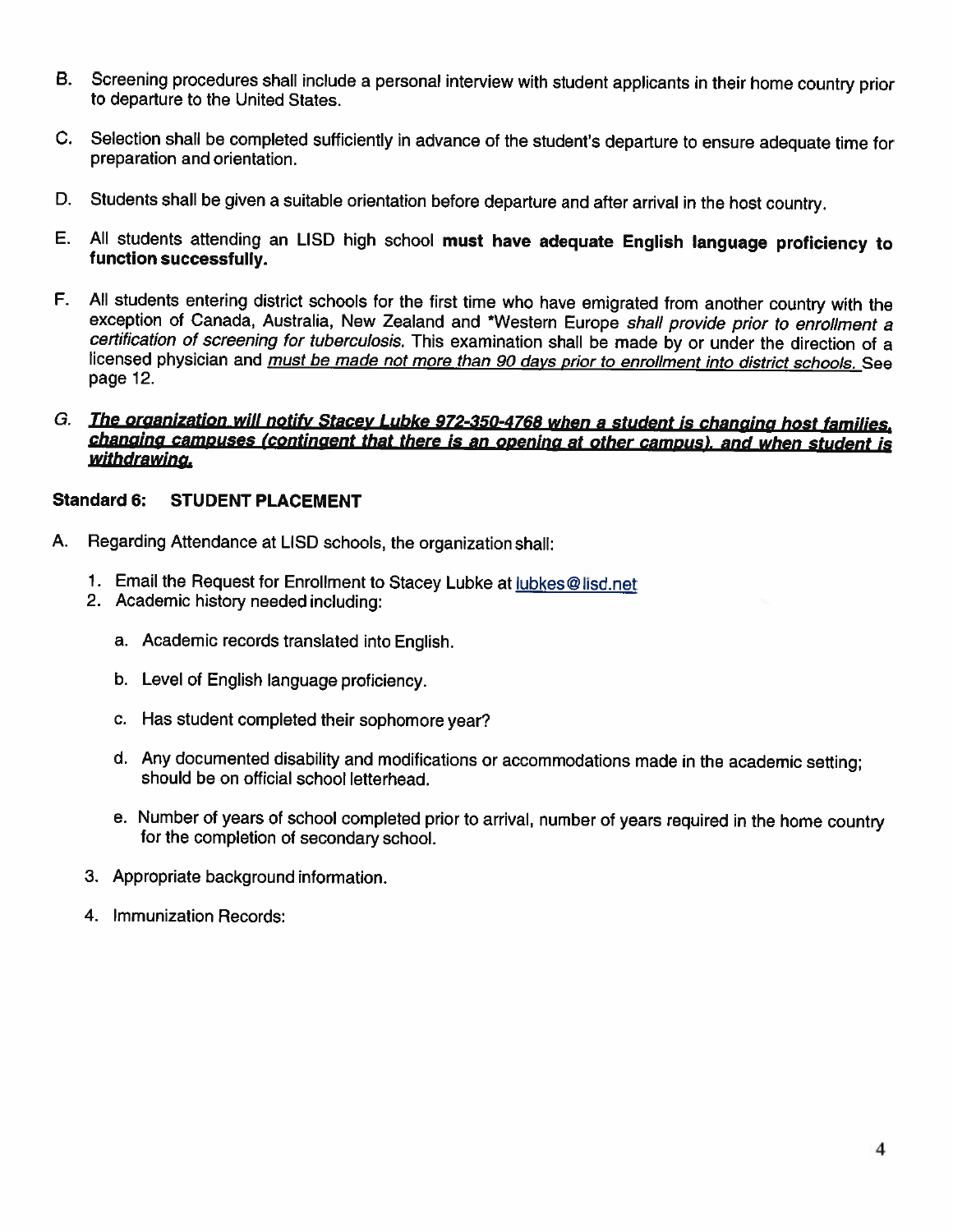- Screening procedures shall include a personal interview with student applicants in their home country prior **B.** to departure to the United States.
- C. Selection shall be completed sufficiently in advance of the student's departure to ensure adequate time for preparation and orientation.
- D. Students shall be given a suitable orientation before departure and after arrival in the host country.
- E. All students attending an LISD high school must have adequate English language proficiency to function successfully.
- F. All students entering district schools for the first time who have emigrated from another country with the exception of Canada, Australia, New Zealand and \*Western Europe shall provide prior to enrollment a certification of screening for tuberculosis. This examination shall be made by or under the direction of a licensed physician and *must be made not more than 90 days prior to enrollment into district schools.* See page 12.
- G. The organization will notify Stacey Lubke 972-350-4768 when a student is changing host families. changing campuses (contingent that there is an opening at other campus), and when student is withdrawing.

#### Standard 6: **STUDENT PLACEMENT**

- A. Regarding Attendance at LISD schools, the organization shall:
	- 1. Email the Request for Enrollment to Stacey Lubke at lubkes@lisd.net
	- 2. Academic history needed including:
		- a. Academic records translated into English.
		- b. Level of English language proficiency.
		- c. Has student completed their sophomore year?
		- d. Any documented disability and modifications or accommodations made in the academic setting; should be on official school letterhead.
		- e. Number of years of school completed prior to arrival, number of years required in the home country for the completion of secondary school.
	- 3. Appropriate background information.
	- 4. Immunization Records: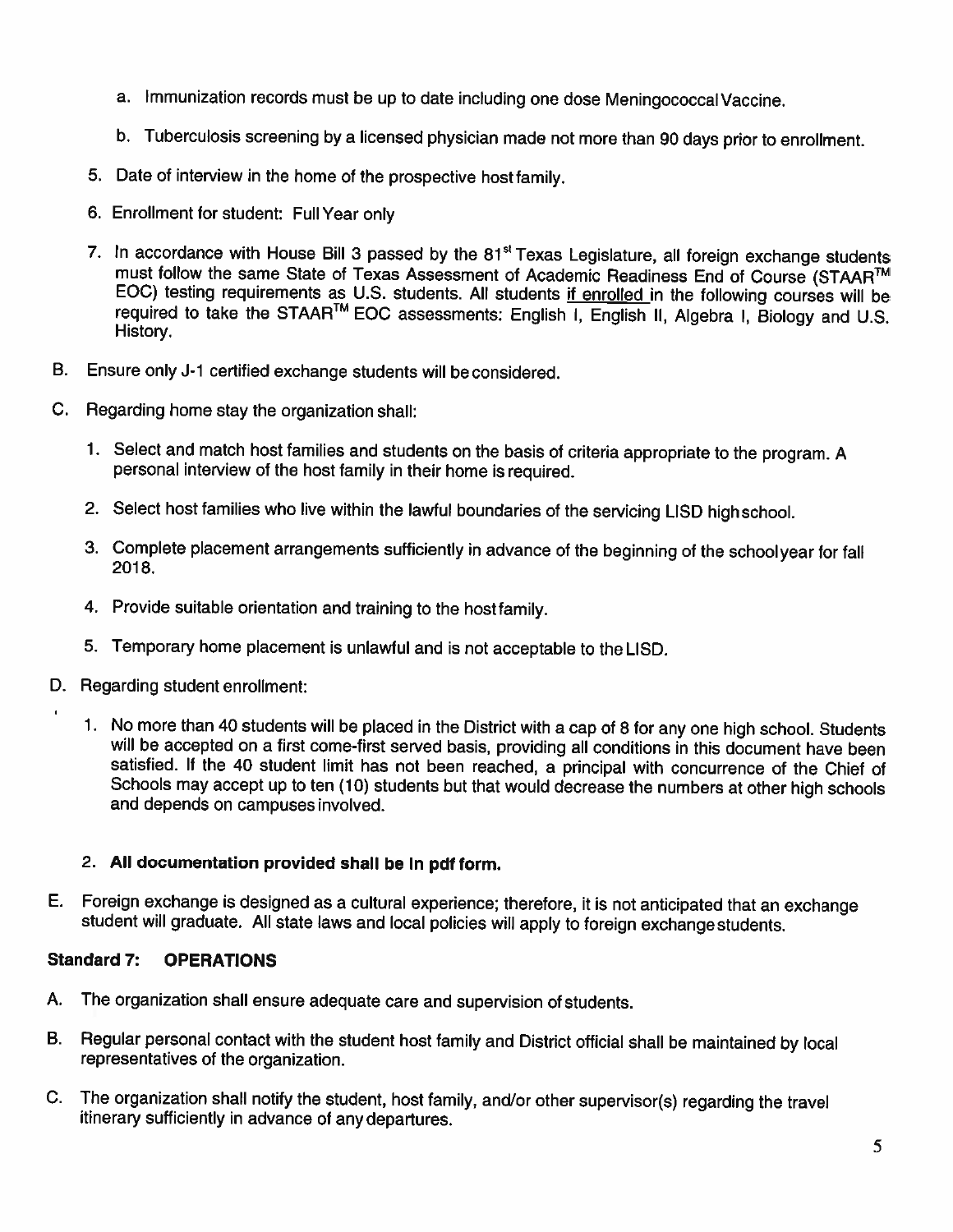- a. Immunization records must be up to date including one dose Meningococcal Vaccine.
- b. Tuberculosis screening by a licensed physician made not more than 90 days prior to enrollment.
- 5. Date of interview in the home of the prospective host family.
- 6. Enrollment for student: Full Year only
- 7. In accordance with House Bill 3 passed by the 81<sup>st</sup> Texas Legislature, all foreign exchange students must follow the same State of Texas Assessment of Academic Readiness End of Course (STAAR™ EOC) testing requirements as U.S. students. All students if enrolled in the following courses will be required to take the STAAR<sup>TM</sup> EOC assessments: English I, English II, Algebra I, Biology and U.S. History.
- **B.** Ensure only J-1 certified exchange students will be considered.
- C. Regarding home stay the organization shall:
	- 1. Select and match host families and students on the basis of criteria appropriate to the program. A personal interview of the host family in their home is required.
	- 2. Select host families who live within the lawful boundaries of the servicing LISD high school.
	- 3. Complete placement arrangements sufficiently in advance of the beginning of the schoolyear for fall 2018.
	- 4. Provide suitable orientation and training to the host family.
	- 5. Temporary home placement is unlawful and is not acceptable to the LISD.
- D. Regarding student enrollment:
	- 1. No more than 40 students will be placed in the District with a cap of 8 for any one high school. Students will be accepted on a first come-first served basis, providing all conditions in this document have been satisfied. If the 40 student limit has not been reached, a principal with concurrence of the Chief of Schools may accept up to ten (10) students but that would decrease the numbers at other high schools and depends on campuses involved.

### 2. All documentation provided shall be in pdf form.

E. Foreign exchange is designed as a cultural experience; therefore, it is not anticipated that an exchange student will graduate. All state laws and local policies will apply to foreign exchange students.

#### **Standard 7: OPERATIONS**

- The organization shall ensure adequate care and supervision of students. А.
- Regular personal contact with the student host family and District official shall be maintained by local В. representatives of the organization.
- C. The organization shall notify the student, host family, and/or other supervisor(s) regarding the travel itinerary sufficiently in advance of any departures.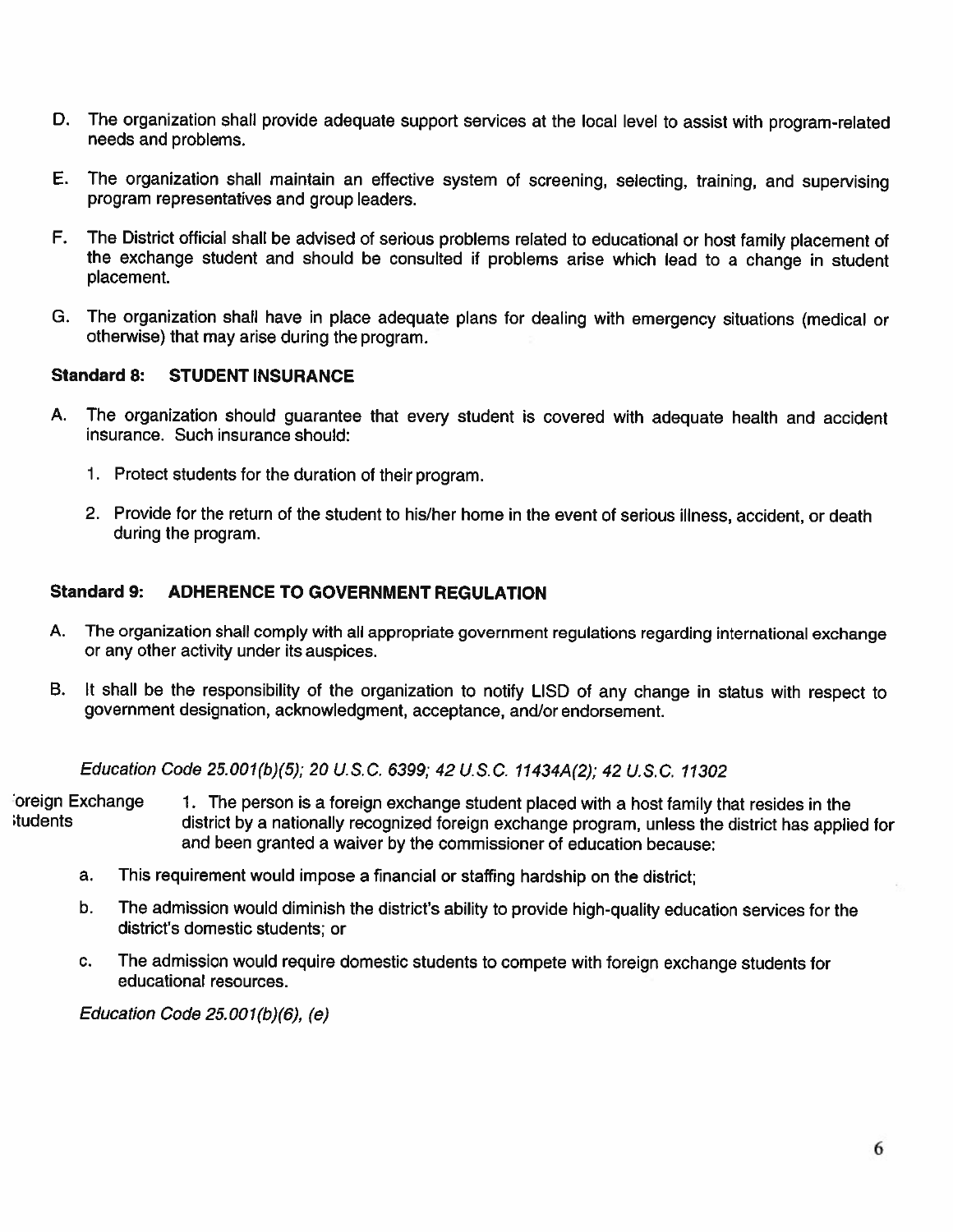- D. The organization shall provide adequate support services at the local level to assist with program-related needs and problems.
- The organization shall maintain an effective system of screening, selecting, training, and supervising Ε. program representatives and group leaders.
- F. The District official shall be advised of serious problems related to educational or host family placement of the exchange student and should be consulted if problems arise which lead to a change in student placement.
- G. The organization shall have in place adequate plans for dealing with emergency situations (medical or otherwise) that may arise during the program.

#### **Standard 8: STUDENT INSURANCE**

- А. The organization should guarantee that every student is covered with adequate health and accident insurance. Such insurance should:
	- 1. Protect students for the duration of their program.
	- 2. Provide for the return of the student to his/her home in the event of serious illness, accident, or death during the program.

#### **Standard 9: ADHERENCE TO GOVERNMENT REGULATION**

- The organization shall comply with all appropriate government regulations regarding international exchange A. or any other activity under its auspices.
- **B.** It shall be the responsibility of the organization to notify LISD of any change in status with respect to government designation, acknowledgment, acceptance, and/or endorsement.

Education Code 25.001(b)(5); 20 U.S.C. 6399; 42 U.S.C. 11434A(2); 42 U.S.C. 11302

oreign Exchange 1. The person is a foreign exchange student placed with a host family that resides in the itudents district by a nationally recognized foreign exchange program, unless the district has applied for and been granted a waiver by the commissioner of education because:

- This requirement would impose a financial or staffing hardship on the district; a.
- b. The admission would diminish the district's ability to provide high-quality education services for the district's domestic students; or
- The admission would require domestic students to compete with foreign exchange students for C. educational resources.

Education Code  $25.001(b)(6)$ , (e)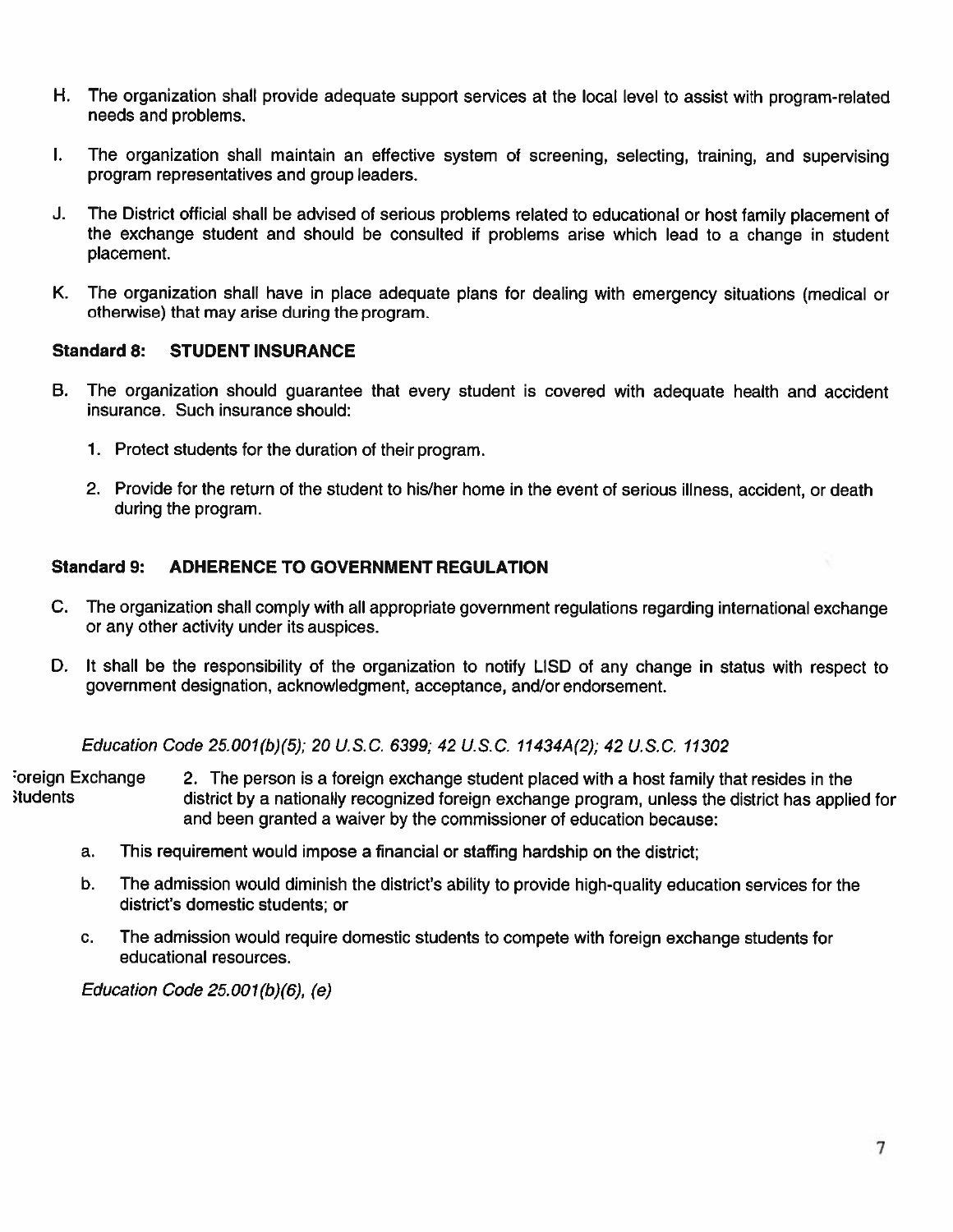- H. . . The organization shall provide adequate support services at the local level to assist with program-related needs and problems.
- $\mathbf{L}$ The organization shall maintain an effective system of screening, selecting, training, and supervising program representatives and group leaders.
- The District official shall be advised of serious problems related to educational or host family placement of J. the exchange student and should be consulted if problems arise which lead to a change in student placement.
- К. The organization shall have in place adequate plans for dealing with emergency situations (medical or otherwise) that may arise during the program.

#### **Standard 8: STUDENT INSURANCE**

- **B.** The organization should guarantee that every student is covered with adequate health and accident insurance. Such insurance should:
	- 1. Protect students for the duration of their program.
	- 2. Provide for the return of the student to his/her home in the event of serious illness, accident, or death during the program.

#### **Standard 9: ADHERENCE TO GOVERNMENT REGULATION**

- C. The organization shall comply with all appropriate government regulations regarding international exchange or any other activity under its auspices.
- D. It shall be the responsibility of the organization to notify LISD of any change in status with respect to government designation, acknowledgment, acceptance, and/or endorsement.

Education Code 25.001(b)(5); 20 U.S.C. 6399; 42 U.S.C. 11434A(2); 42 U.S.C. 11302

Foreign Exchange 2. The person is a foreign exchange student placed with a host family that resides in the **students** district by a nationally recognized foreign exchange program, unless the district has applied for and been granted a waiver by the commissioner of education because:

- This requirement would impose a financial or staffing hardship on the district; a.
- b. The admission would diminish the district's ability to provide high-quality education services for the district's domestic students; or
- C. The admission would require domestic students to compete with foreign exchange students for educational resources.

Education Code  $25.001(b)(6)$ , (e)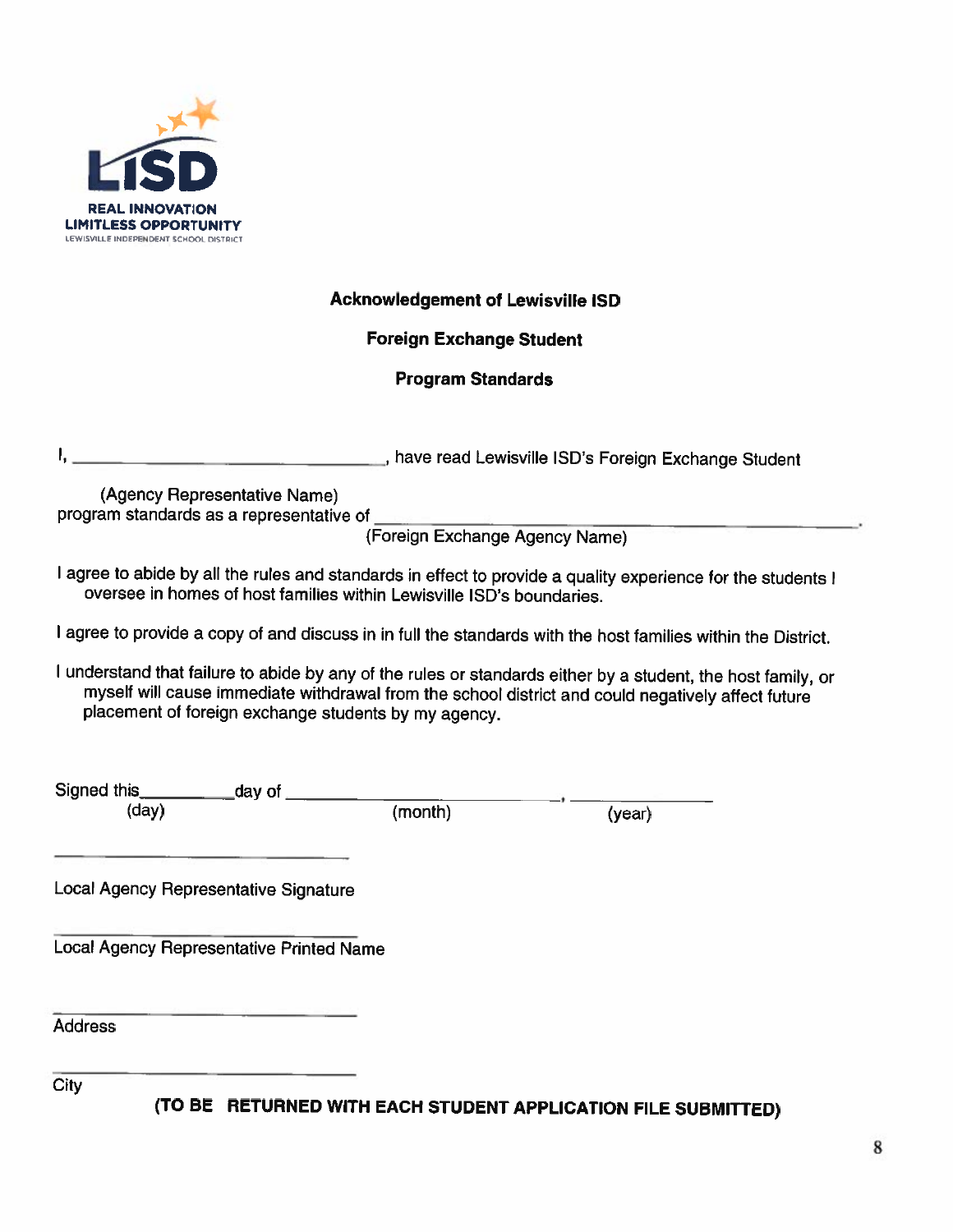

### **Acknowledgement of Lewisville ISD**

### **Foreign Exchange Student**

### **Program Standards**

Ι. have read Lewisville ISD's Foreign Exchange Student

(Agency Representative Name) program standards as a representative of

(Foreign Exchange Agency Name)

I agree to abide by all the rules and standards in effect to provide a quality experience for the students I oversee in homes of host families within Lewisville ISD's boundaries.

I agree to provide a copy of and discuss in in full the standards with the host families within the District.

I understand that failure to abide by any of the rules or standards either by a student, the host family, or myself will cause immediate withdrawal from the school district and could negatively affect future placement of foreign exchange students by my agency.

Signed this day of  $(day)$ 

(month)

 $(year)$ 

Local Agency Representative Signature

**Local Agency Representative Printed Name** 

**Address** 

City

(TO BE RETURNED WITH EACH STUDENT APPLICATION FILE SUBMITTED)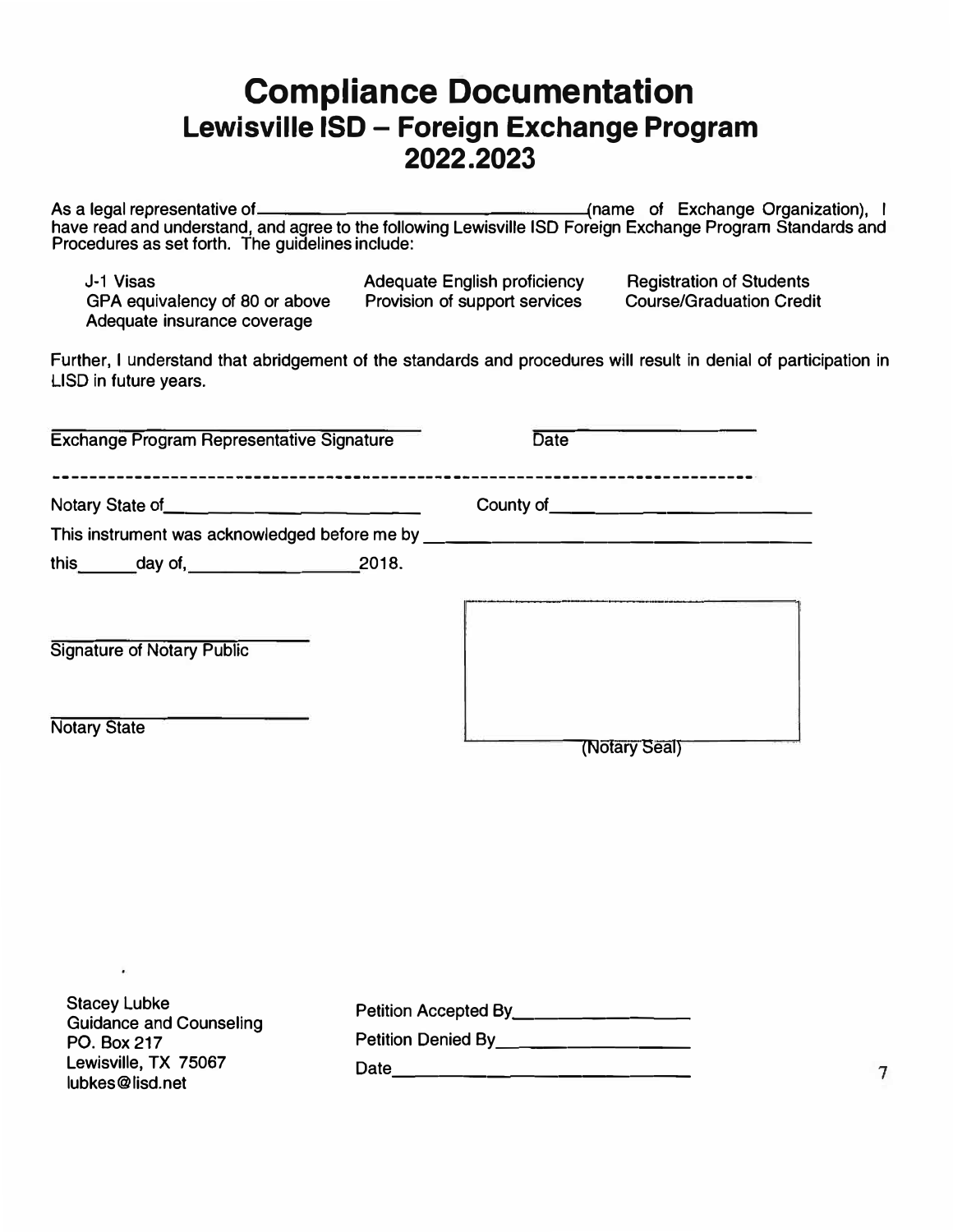### **Compliance Documentation Lewisville ISO - Foreign Exchange Program 2022.2023**

As a legal representative of (name of Exchange Organization) , I have read and understand, and agree to the following Lewisville ISD Foreign Exchange Program Standards and Procedures as set forth. The guidelines include:

J-1 Visas GPA equivalency of 80 or above Adequate insurance coverage

Adequate English proficiency Provision of support services

Registration of Students Course/Graduation Credit

Further, I understand that abridgement of the standards and procedures will result in denial of participation in LISD in future years.

| <b>Exchange Program Representative Signature</b>                                                                                                 | <b>Date</b>                                                                                                                                                                                                                                                                                                                               |
|--------------------------------------------------------------------------------------------------------------------------------------------------|-------------------------------------------------------------------------------------------------------------------------------------------------------------------------------------------------------------------------------------------------------------------------------------------------------------------------------------------|
| Notary State of <u>example and the state of</u> the state of<br>This instrument was acknowledged before me by __________________________________ | County of $\qquad \qquad$ $\qquad \qquad$ $\qquad$ $\qquad$ $\qquad$ $\qquad$ $\qquad$ $\qquad$ $\qquad$ $\qquad$ $\qquad$ $\qquad$ $\qquad$ $\qquad$ $\qquad$ $\qquad$ $\qquad$ $\qquad$ $\qquad$ $\qquad$ $\qquad$ $\qquad$ $\qquad$ $\qquad$ $\qquad$ $\qquad$ $\qquad$ $\qquad$ $\qquad$ $\qquad$ $\qquad$ $\qquad$ $\qquad$ $\qquad$ |
| this day of, 2018.                                                                                                                               |                                                                                                                                                                                                                                                                                                                                           |
| <b>Signature of Notary Public</b>                                                                                                                |                                                                                                                                                                                                                                                                                                                                           |
| <b>Notary State</b>                                                                                                                              | (Notary Seal)                                                                                                                                                                                                                                                                                                                             |
|                                                                                                                                                  |                                                                                                                                                                                                                                                                                                                                           |
|                                                                                                                                                  |                                                                                                                                                                                                                                                                                                                                           |

| <b>Stacey Lubke</b><br><b>Guidance and Counseling</b> | Petition Accepted By |  |
|-------------------------------------------------------|----------------------|--|
| PO. Box 217                                           | Petition Denied By   |  |
| Lewisville, TX 75067<br>lubkes@lisd.net               | Date                 |  |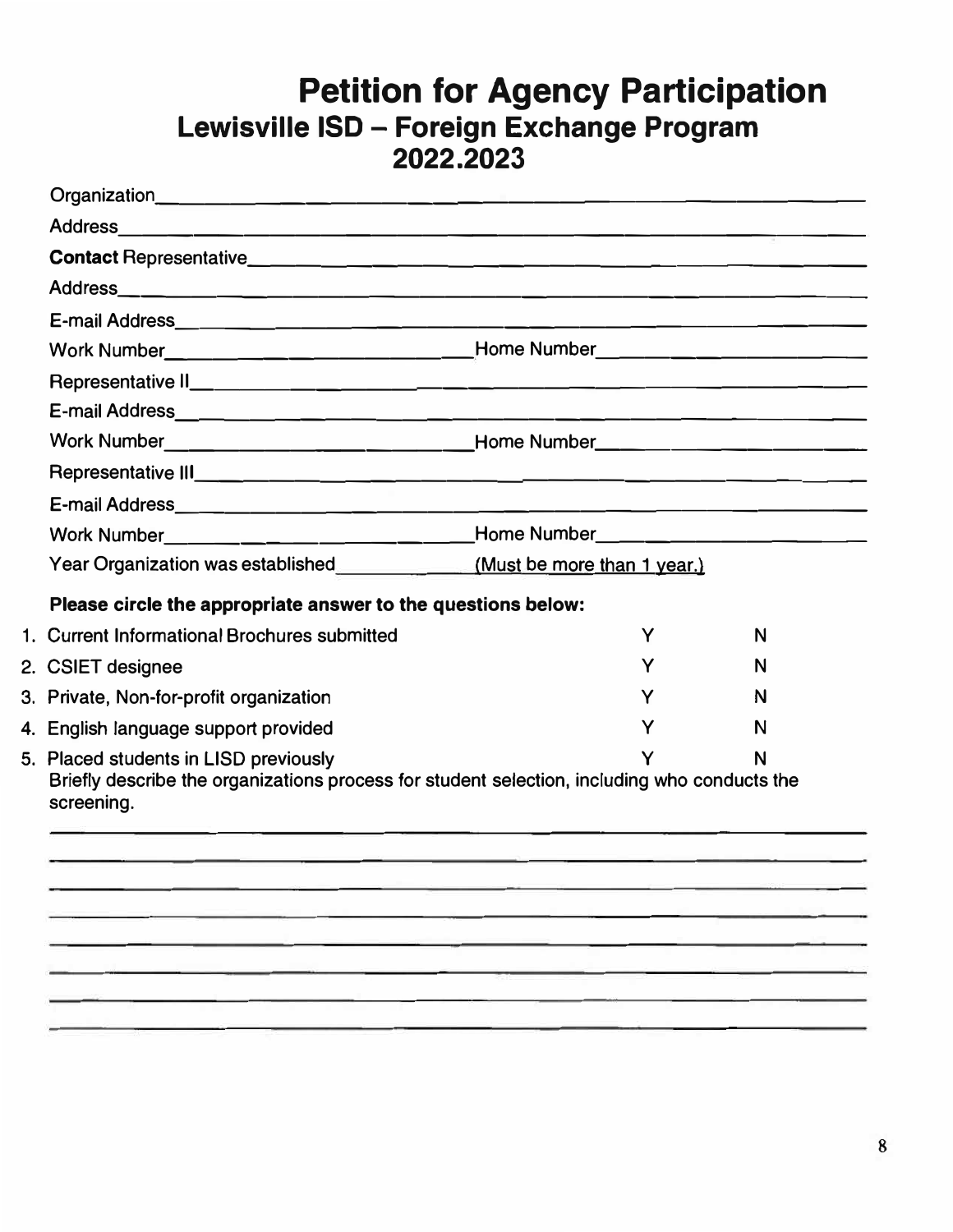## **Petition for Agency Participation Lewisville ISD - Foreign Exchange Program 2022.2023**

| Work Number__________________________________Home Number________________________<br>Work Number__________________________________Home Number________________________<br>Work Number___________________________Home Number_______________________________<br>Please circle the appropriate answer to the questions below:<br>1. Current Informational Brochures submitted |                                                               |   |
|--------------------------------------------------------------------------------------------------------------------------------------------------------------------------------------------------------------------------------------------------------------------------------------------------------------------------------------------------------------------------|---------------------------------------------------------------|---|
|                                                                                                                                                                                                                                                                                                                                                                          |                                                               |   |
|                                                                                                                                                                                                                                                                                                                                                                          |                                                               |   |
|                                                                                                                                                                                                                                                                                                                                                                          |                                                               |   |
|                                                                                                                                                                                                                                                                                                                                                                          |                                                               |   |
|                                                                                                                                                                                                                                                                                                                                                                          |                                                               |   |
|                                                                                                                                                                                                                                                                                                                                                                          |                                                               |   |
|                                                                                                                                                                                                                                                                                                                                                                          |                                                               |   |
|                                                                                                                                                                                                                                                                                                                                                                          |                                                               |   |
|                                                                                                                                                                                                                                                                                                                                                                          |                                                               |   |
|                                                                                                                                                                                                                                                                                                                                                                          |                                                               |   |
|                                                                                                                                                                                                                                                                                                                                                                          |                                                               |   |
|                                                                                                                                                                                                                                                                                                                                                                          | Year Organization was established (Must be more than 1 year.) |   |
|                                                                                                                                                                                                                                                                                                                                                                          |                                                               |   |
|                                                                                                                                                                                                                                                                                                                                                                          | Υ                                                             | N |
| 2. CSIET designee                                                                                                                                                                                                                                                                                                                                                        | Y                                                             | N |
| 3. Private, Non-for-profit organization                                                                                                                                                                                                                                                                                                                                  | Υ                                                             | N |
| 4. English language support provided                                                                                                                                                                                                                                                                                                                                     | Υ                                                             | N |
| 5. Placed students in LISD previously<br>Briefly describe the organizations process for student selection, including who conducts the<br>screening.                                                                                                                                                                                                                      |                                                               | N |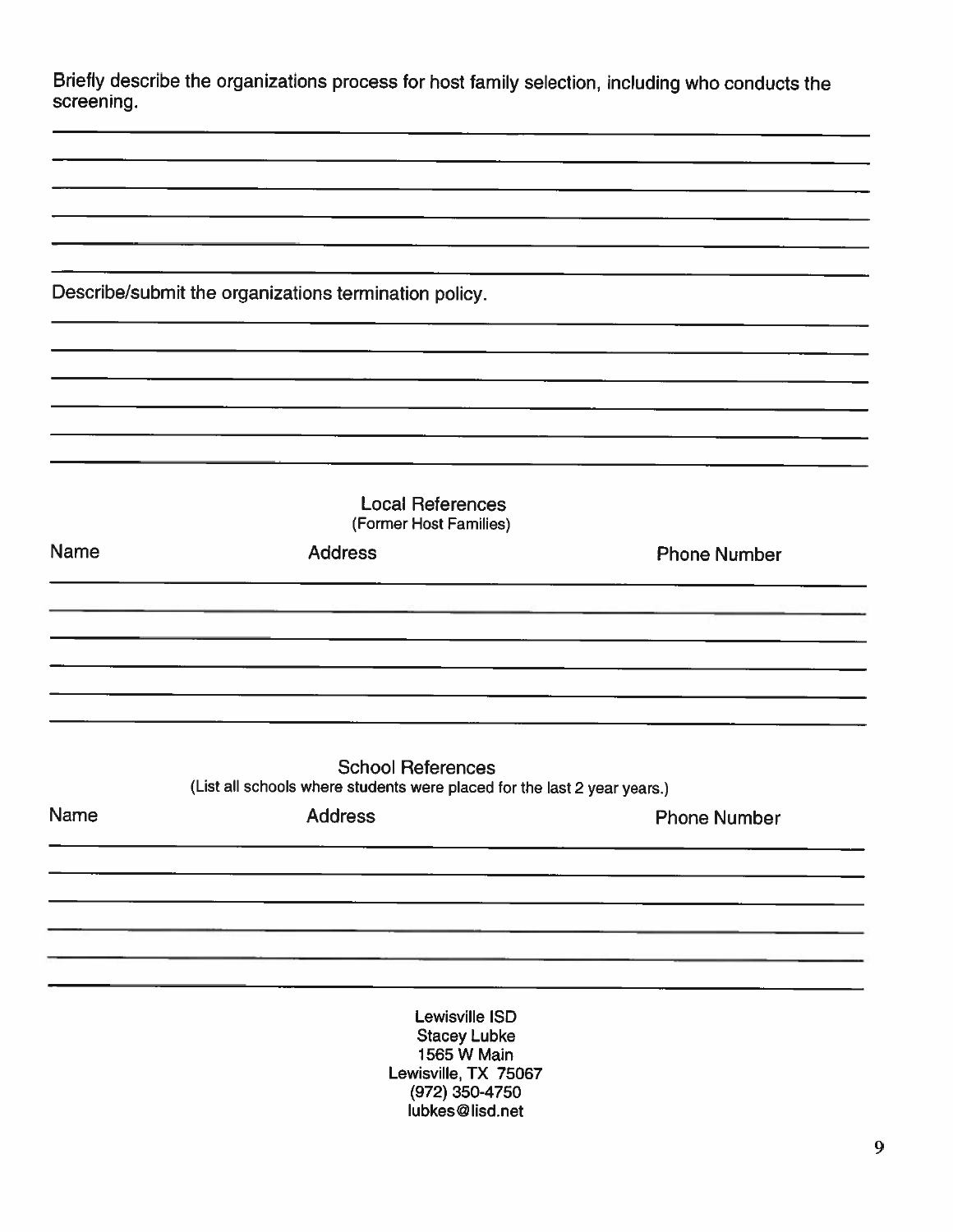| Briefly describe the organizations process for host family selection, including who conducts the |  |
|--------------------------------------------------------------------------------------------------|--|
| screening.                                                                                       |  |

Describe/submit the organizations termination policy.

|             | <b>Local References</b><br>(Former Host Families)                                                    |                     |
|-------------|------------------------------------------------------------------------------------------------------|---------------------|
| <b>Name</b> | <b>Address</b>                                                                                       | <b>Phone Number</b> |
|             |                                                                                                      |                     |
|             |                                                                                                      |                     |
|             |                                                                                                      |                     |
|             |                                                                                                      |                     |
|             | <b>School References</b><br>(List all schools where students were placed for the last 2 year years.) |                     |
| Name        | <b>Address</b>                                                                                       | <b>Phone Number</b> |

Lewisville ISD **Stacey Lubke** 1565 W Main Lewisville, TX 75067 (972) 350-4750 lubkes@lisd.net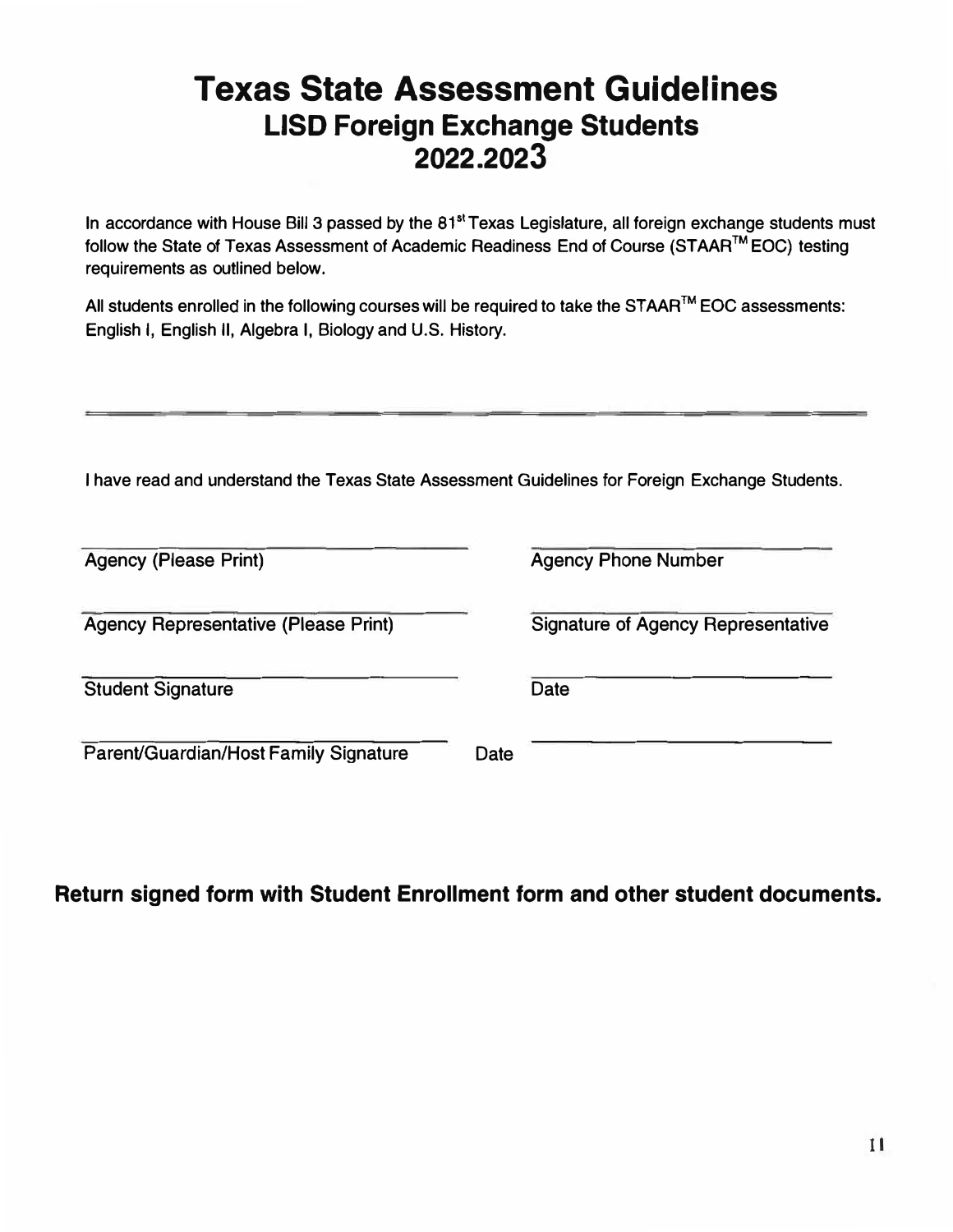## **Texas State Assessment Guidelines LISD Foreign Exchange Students 2022.2023**

In accordance with House Bill 3 passed by the  $81<sup>st</sup>$  Texas Legislature, all foreign exchange students must follow the State of Texas Assessment of Academic Readiness End of Course (STAAR™ EOC) testing requirements as outlined below.

All students enrolled in the following courses will be required to take the STAAR™ EOC assessments: English I, English II, Algebra I, Biology and U.S. History.

I have read and understand the Texas State Assessment Guidelines for Foreign Exchange Students.

| <b>Agency (Please Print)</b>                |      | <b>Agency Phone Number</b>                |
|---------------------------------------------|------|-------------------------------------------|
| <b>Agency Representative (Please Print)</b> |      | <b>Signature of Agency Representative</b> |
| <b>Student Signature</b>                    |      | <b>Date</b>                               |
| Parent/Guardian/Host Family Signature       | Date |                                           |

### **Return signed form with Student Enrollment form and other student documents.**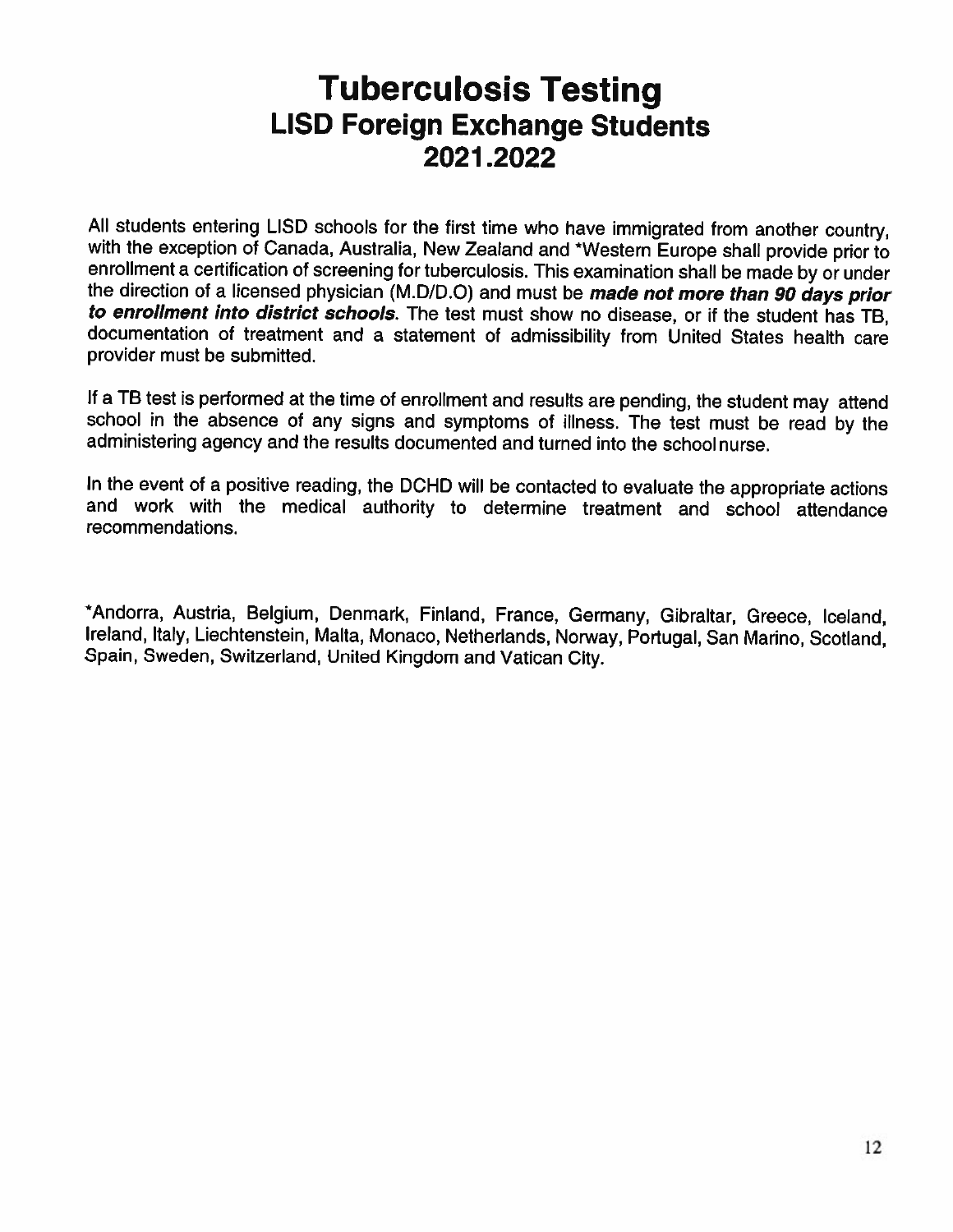## **Tuberculosis Testing LISD Foreign Exchange Students** 2021.2022

All students entering LISD schools for the first time who have immigrated from another country, with the exception of Canada, Australia, New Zealand and \*Western Europe shall provide prior to enrollment a certification of screening for tuberculosis. This examination shall be made by or under the direction of a licensed physician (M.D/D.O) and must be *made not more than 90 days prior* to enrollment into district schools. The test must show no disease, or if the student has TB, documentation of treatment and a statement of admissibility from United States health care provider must be submitted.

If a TB test is performed at the time of enrollment and results are pending, the student may attend school in the absence of any signs and symptoms of illness. The test must be read by the administering agency and the results documented and turned into the schoolnurse.

In the event of a positive reading, the DCHD will be contacted to evaluate the appropriate actions and work with the medical authority to determine treatment and school attendance recommendations.

\*Andorra, Austria, Belgium, Denmark, Finland, France, Germany, Gibraltar, Greece, Iceland, Ireland, Italy, Liechtenstein, Malta, Monaco, Netherlands, Norway, Portugal, San Marino, Scotland, Spain, Sweden, Switzerland, United Kingdom and Vatican City.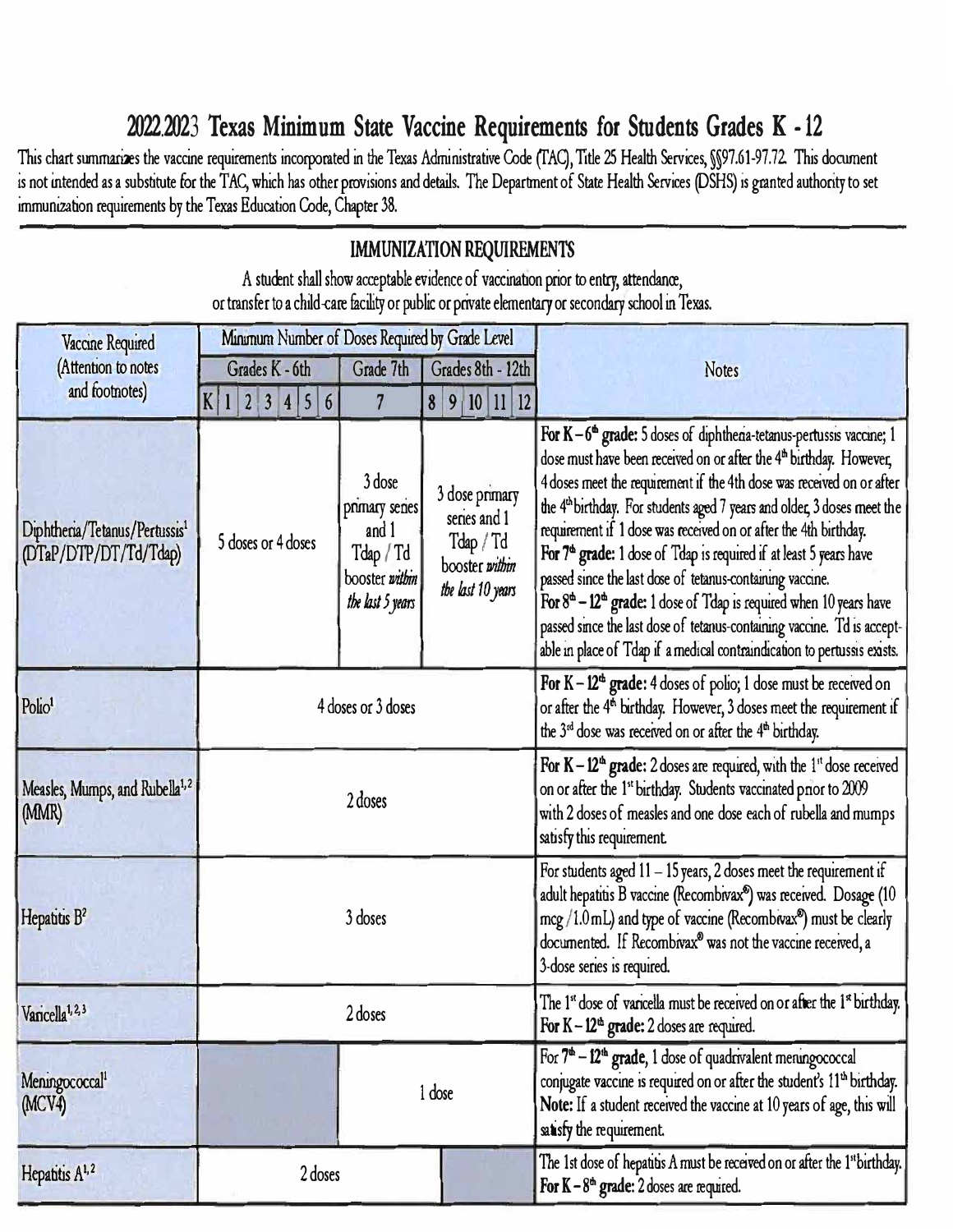### 2022.2023 Texas Minimum State Vaccine Requirements for Students Grades K - 12

This chart summarizes the vaccine requirements incorporated in the Texas Administrative Code (TAC), Title 25 Health Services, *M97.61-97.72*. This document is not intended as a substitute for the TAC, which has other provisions and details. The Department of State Health Services (DSHS) is granted authority to set immunization requirements by the Texas Education Code, Chapter 38.

#### **IMMUNIZATION REQUIREMENTS** A student shall show acceptable evidence of vaccination prior to entry, attendance, or transfer to a child-care facility or public or private elementary or secondary school in Texas. Minimum Number of Doses Required by Grade Level Vaccine Required (Attention to notes Grades K - 6th Grade 7th Grades 8th - 12th **Notes** and footnotes)  $K$ | 1 | 2 | 3 | 4 | 5 | 6  $\overline{7}$  $8|9$  $|10|11|12$ For  $K-6^{\omega}$  grade: 5 doses of diphthena-tetanus-pertussis vaccine; 1 dose must have been received on or after the 4<sup>th</sup> birthday. However, 3 dose 4 doses meet the requirement if the 4th dose was received on or after 3 dose primary the 4<sup>th</sup> birthday. For students aged 7 years and older, 3 doses meet the primary senes series and 1 Diphtheria/Tetanus/Pertussis<sup>1</sup> requirement if 1 dose was received on or after the 4th birthday. and 1 5 doses or 4 doses Tdap / Td (DTaP/DTP/DT/Td/Tdap) Tdap / Td For  $7<sup>a</sup>$  grade: 1 dose of  $\text{T}$ dap is required if at least 5 years have booster within booster within passed since the last dose of tetanus-containing vaccine. the last 10 years the last 5 years For  $8^{\text{th}}$  – 12<sup>th</sup> grade: 1 dose of Tdap is required when 10 years have passed since the last dose of tetanus-containing vaccine. Td is acceptable in place of Tdap if a medical contraindication to pertussis exists. For K - 12<sup>th</sup> grade: 4 doses of polio; 1 dose must be received on Polio<sup>1</sup> 4 doses or 3 doses or after the 4<sup>th</sup> birthday. However, 3 doses meet the requirement if the 3<sup>rd</sup> dose was received on or after the 4<sup>th</sup> birthday. For  $K - 12<sup>th</sup>$  grade: 2 doses are required, with the 1<sup>th</sup> dose received Measles, Mumps, and Rubella<sup>1,2</sup> on or after the 1<sup>st</sup> birthday. Students vaccinated prior to 2009 2 doses (MMR) with 2 doses of measles and one dose each of rubella and mumps satisfy this requirement. For students aged  $11 - 15$  years, 2 doses meet the requirement if adult hepatitis B vaccine (Recombivax<sup>®</sup>) was received. Dosage (10 Hepatitis B<sup>2</sup> 3 doses  $\frac{1}{2}$  mcg /1.0 mL) and type of vaccine (Recombivax<sup>9</sup>) must be clearly documented. If Recombivax<sup>®</sup> was not the vaccine received, a 3-dose series is required. The 1st dose of varicella must be received on or after the 1st birthday. Varicella<sup>1, 2, 3</sup> 2 doses For  $K - 12<sup>th</sup>$  grade: 2 doses are required. For  $7<sup>th</sup> - 12<sup>th</sup>$  grade, 1 dose of quadrivalent meningococcal Meningococcal<sup>1</sup> conjugate vaccine is required on or after the student's 11<sup>th</sup> birthday. 1 dose (MCV4) Note: If a student received the vaccine at 10 years of age, this will satisfy the requirement.

2 doses

Hepatitis A<sup>1,2</sup>

The 1st dose of hepatitis A must be received on or after the 1<sup>st</sup> birthday.

For  $K - 8<sup>th</sup>$  grade: 2 doses are required.